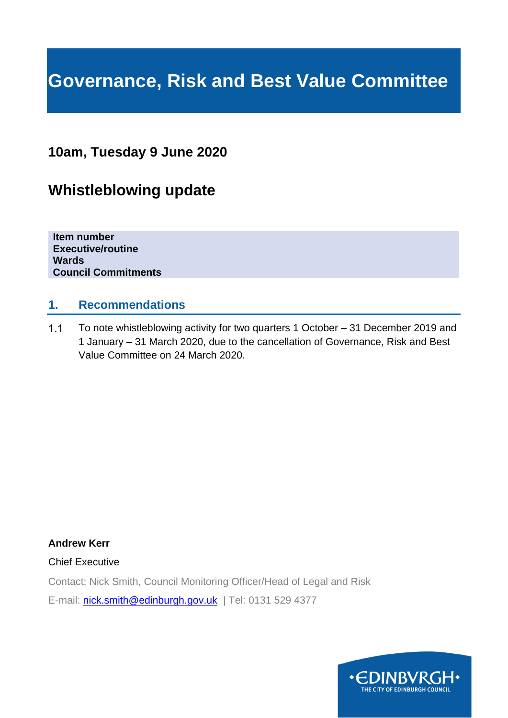# **Governance, Risk and Best Value Committee**

# **10am, Tuesday 9 June 2020**

# **Whistleblowing update**

**Item number Executive/routine Wards Council Commitments**

#### **1. Recommendations**

 $1.1$ To note whistleblowing activity for two quarters 1 October – 31 December 2019 and 1 January – 31 March 2020, due to the cancellation of Governance, Risk and Best Value Committee on 24 March 2020.

**Andrew Kerr**

Chief Executive

Contact: Nick Smith, Council Monitoring Officer/Head of Legal and Risk

E-mail: [nick.smith@edinburgh.gov.uk](mailto:nick.smith@edinburgh.gov.uk) | Tel: 0131 529 4377

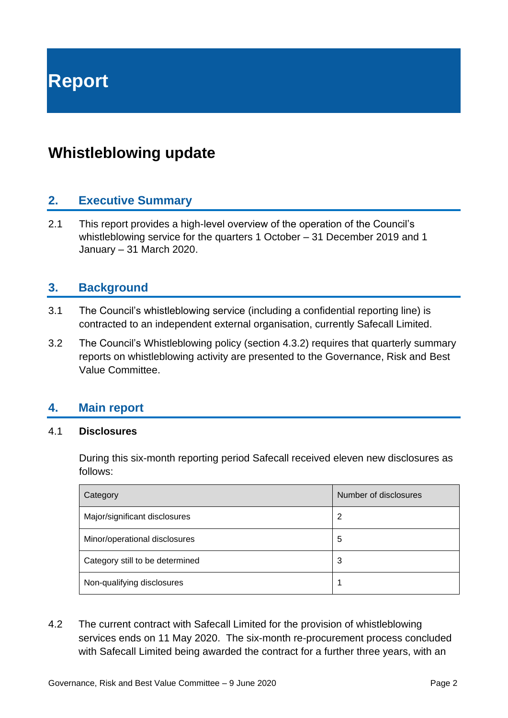# **Whistleblowing update**

## **2. Executive Summary**

2.1 This report provides a high-level overview of the operation of the Council's whistleblowing service for the quarters 1 October – 31 December 2019 and 1 January – 31 March 2020.

### **3. Background**

- 3.1 The Council's whistleblowing service (including a confidential reporting line) is contracted to an independent external organisation, currently Safecall Limited.
- 3.2 The Council's Whistleblowing policy (section 4.3.2) requires that quarterly summary reports on whistleblowing activity are presented to the Governance, Risk and Best Value Committee.

#### **4. Main report**

#### 4.1 **Disclosures**

During this six-month reporting period Safecall received eleven new disclosures as follows:

| Category                        | Number of disclosures |
|---------------------------------|-----------------------|
| Major/significant disclosures   | 2                     |
| Minor/operational disclosures   | 5                     |
| Category still to be determined | 3                     |
| Non-qualifying disclosures      |                       |

4.2 The current contract with Safecall Limited for the provision of whistleblowing services ends on 11 May 2020. The six-month re-procurement process concluded with Safecall Limited being awarded the contract for a further three years, with an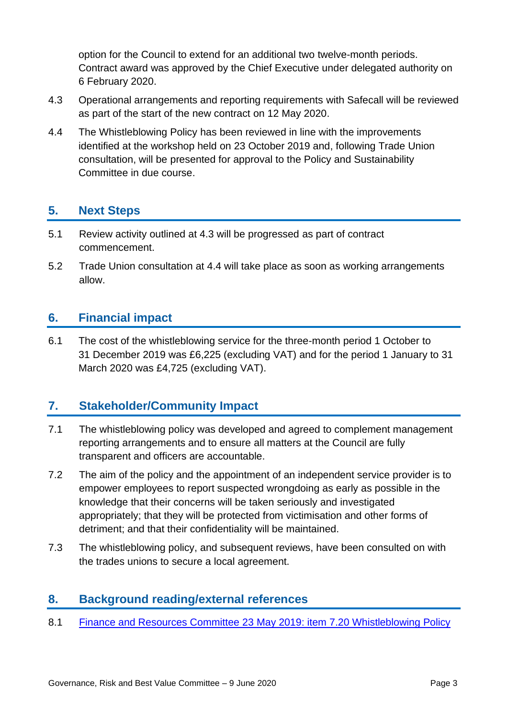option for the Council to extend for an additional two twelve-month periods. Contract award was approved by the Chief Executive under delegated authority on 6 February 2020.

- 4.3 Operational arrangements and reporting requirements with Safecall will be reviewed as part of the start of the new contract on 12 May 2020.
- 4.4 The Whistleblowing Policy has been reviewed in line with the improvements identified at the workshop held on 23 October 2019 and, following Trade Union consultation, will be presented for approval to the Policy and Sustainability Committee in due course.

# **5. Next Steps**

- 5.1 Review activity outlined at 4.3 will be progressed as part of contract commencement.
- 5.2 Trade Union consultation at 4.4 will take place as soon as working arrangements allow.

### **6. Financial impact**

6.1 The cost of the whistleblowing service for the three-month period 1 October to 31 December 2019 was £6,225 (excluding VAT) and for the period 1 January to 31 March 2020 was £4,725 (excluding VAT).

## **7. Stakeholder/Community Impact**

- 7.1 The whistleblowing policy was developed and agreed to complement management reporting arrangements and to ensure all matters at the Council are fully transparent and officers are accountable.
- 7.2 The aim of the policy and the appointment of an independent service provider is to empower employees to report suspected wrongdoing as early as possible in the knowledge that their concerns will be taken seriously and investigated appropriately; that they will be protected from victimisation and other forms of detriment; and that their confidentiality will be maintained.
- 7.3 The whistleblowing policy, and subsequent reviews, have been consulted on with the trades unions to secure a local agreement.

## **8. Background reading/external references**

8.1 [Finance and Resources Committee 23](https://democracy.edinburgh.gov.uk/CeListDocuments.aspx?CommitteeId=140&MeetingId=2313&DF=23%2f05%2f2019&Ver=2) May 2019: item 7.20 Whistleblowing Policy